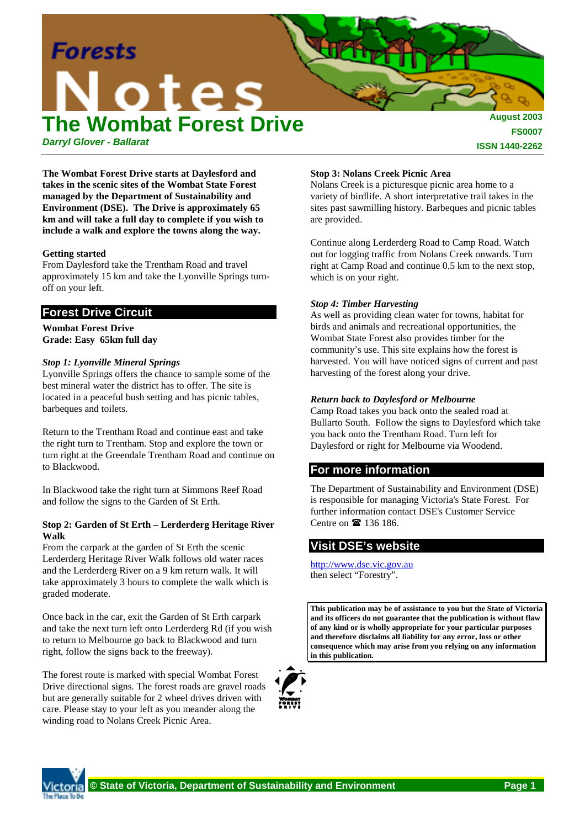

*Darryl Glover - Ballarat*

**ISSN 1440-2262**

**The Wombat Forest Drive starts at Daylesford and takes in the scenic sites of the Wombat State Forest managed by the Department of Sustainability and Environment (DSE). The Drive is approximately 65 km and will take a full day to complete if you wish to include a walk and explore the towns along the way.**

### **Getting started**

From Daylesford take the Trentham Road and travel approximately 15 km and take the Lyonville Springs turnoff on your left.

# **Forest Drive Circuit**

#### **Wombat Forest Drive Grade: Easy 65km full day**

## *Stop 1: Lyonville Mineral Springs*

Lyonville Springs offers the chance to sample some of the best mineral water the district has to offer. The site is located in a peaceful bush setting and has picnic tables, barbeques and toilets.

Return to the Trentham Road and continue east and take the right turn to Trentham. Stop and explore the town or turn right at the Greendale Trentham Road and continue on to Blackwood.

In Blackwood take the right turn at Simmons Reef Road and follow the signs to the Garden of St Erth.

### **Stop 2: Garden of St Erth – Lerderderg Heritage River Walk**

From the carpark at the garden of St Erth the scenic Lerderderg Heritage River Walk follows old water races and the Lerderderg River on a 9 km return walk. It will take approximately 3 hours to complete the walk which is graded moderate.

Once back in the car, exit the Garden of St Erth carpark and take the next turn left onto Lerderderg Rd (if you wish to return to Melbourne go back to Blackwood and turn right, follow the signs back to the freeway).

The forest route is marked with special Wombat Forest Drive directional signs. The forest roads are gravel roads but are generally suitable for 2 wheel drives driven with care. Please stay to your left as you meander along the winding road to Nolans Creek Picnic Area.

## **Stop 3: Nolans Creek Picnic Area**

Nolans Creek is a picturesque picnic area home to a variety of birdlife. A short interpretative trail takes in the sites past sawmilling history. Barbeques and picnic tables are provided.

Continue along Lerderderg Road to Camp Road. Watch out for logging traffic from Nolans Creek onwards. Turn right at Camp Road and continue 0.5 km to the next stop, which is on your right.

### *Stop 4: Timber Harvesting*

As well as providing clean water for towns, habitat for birds and animals and recreational opportunities, the Wombat State Forest also provides timber for the community's use. This site explains how the forest is harvested. You will have noticed signs of current and past harvesting of the forest along your drive.

## *Return back to Daylesford or Melbourne*

Camp Road takes you back onto the sealed road at Bullarto South. Follow the signs to Daylesford which take you back onto the Trentham Road. Turn left for Daylesford or right for Melbourne via Woodend.

## **For more information**

The Department of Sustainability and Environment (DSE) is responsible for managing Victoria's State Forest. For further information contact DSE's Customer Service Centre on  $\mathbf{\mathbb{R}}$  136 186.

# **Visit DSE's website**

http://www.dse.vic.gov.au then select "Forestry".

**This publication may be of assistance to you but the State of Victoria and its officers do not guarantee that the publication is without flaw of any kind or is wholly appropriate for your particular purposes and therefore disclaims all liability for any error, loss or other consequence which may arise from you relying on any information in this publication.**